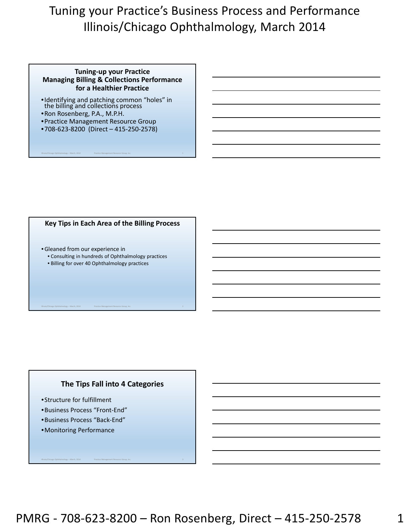### **Tuning‐up your Practice Managing Billing & Collections Performance for a Healthier Practice**

- •Identifying and patching common "holes" in the billing and collections process
- •Ron Rosenberg, P.A., M.P.H.
- •Practice Management Resource Group
- •708‐623‐8200 (Direct 415‐250‐2578)

### **Key Tips in Each Area of the Billing Process**

Illinois/Chicago Ophthalmology – March, 2014 Practice Management Resource Group, Inc. 1

- •Gleaned from our experience in
	- Consulting in hundreds of Ophthalmology practices
	- Billing for over 40 Ophthalmology practices

# **The Tips Fall into 4 Categories**

Illinois/Chicago Ophthalmology – March, 2014 Practice Management Resource Group, Inc. 3

- •Structure for fulfillment
- •Business Process "Front‐End"
- •Business Process "Back‐End"
- •Monitoring Performance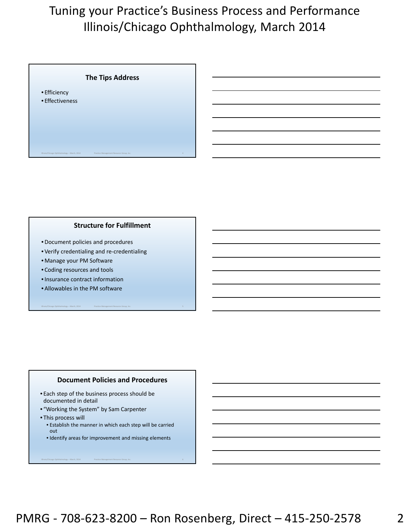

### **Structure for Fulfillment**

- •Document policies and procedures
- Verify credentialing and re‐credentialing
- Manage your PM Software
- Coding resources and tools
- •Insurance contract information
- Allowables in the PM software

#### **Document Policies and Procedures**

Illinois/Chicago Ophthalmology – March, 2014 Practice Management Resource Group, Inc. 5

- Each step of the business process should be documented in detail
- "Working the System" by Sam Carpenter
- This process will
	- Establish the manner in which each step will be carried out
	- Identify areas for improvement and missing elements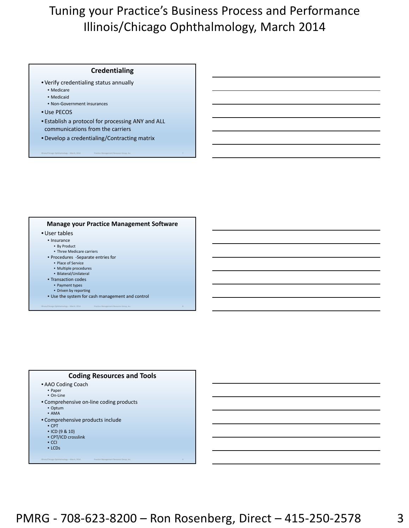#### **Credentialing**

- Verify credentialing status annually
	- Medicare
	- Medicaid
	- Non‐Government insurances
- •Use PECOS
- Establish a protocol for processing ANY and ALL communications from the carriers

Illinois/Chicago Ophthalmology – March, 2014 Practice Management Resource Group, Inc. 7

•Develop a credentialing/Contracting matrix

#### **Manage your Practice Management Software**

- •User tables
	- Insurance
		- By Product
	- Three Medicare carriers • Procedures ‐Separate entries for
		- Place of Service
		- Multiple procedures
		- Bilateral/Unilateral
	- Transaction codes
		- Payment types
		- Driven by reporting
	- Use the system for cash management and control

Illinois/Chicago Ophthalmology – March, 2014 Practice Management Resource Group, Inc. 8

### **Coding Resources and Tools**

- AAO Coding Coach
	- Paper • On‐Line
- Comprehensive on‐line coding products
	- Optum
	- AMA
- Comprehensive products include
	- CPT
	- ICD (9 & 10) • CPT/ICD crosslink
	- CCI
	- LCDs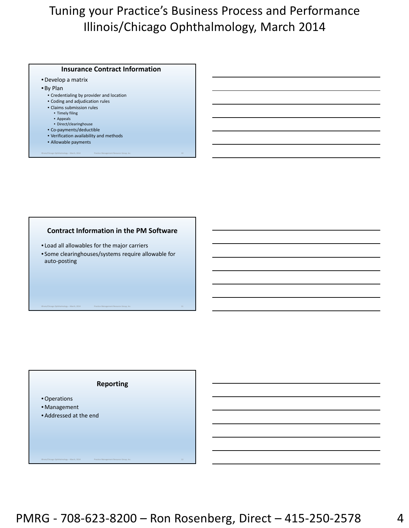#### **Insurance Contract Information**

- •Develop a matrix
- By Plan
	- Credentialing by provider and location
	- Coding and adjudication rules
	- Claims submission rules
		- Timely filing
		- Appeals
		- Direct/clearinghouse
	- Co‐payments/deductible • Verification availability and methods
	-
	- Allowable payments

### **Contract Information in the PM Software**

Illinois/Chicago Ophthalmology – March, 2014 Practice Management Resource Group, Inc. 10

- Load all allowables for the major carriers
- Some clearinghouses/systems require allowable for auto‐posting

Illinois/Chicago Ophthalmology – March, 2014 Practice Management Resource Group, Inc. 11

### **Reporting**

- •Operations
- Management
- Addressed at the end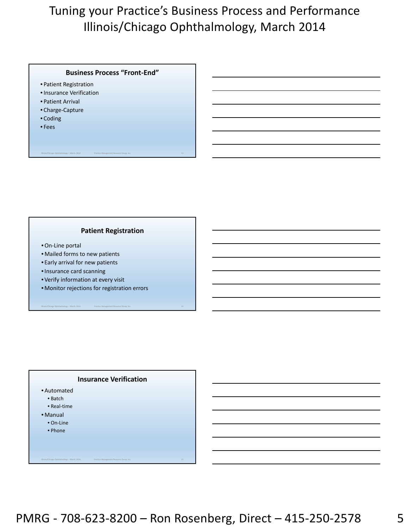### **Business Process "Front‐End"**

- Patient Registration
- •Insurance Verification
- Patient Arrival
- Charge‐Capture
- Coding
- Fees

### **Patient Registration**

Illinois/Chicago Ophthalmology – March, 2014 Practice Management Resource Group, Inc. 13

- •On‐Line portal
- Mailed forms to new patients
- Early arrival for new patients
- •Insurance card scanning
- Verify information at every visit
- Monitor rejections for registration errors

### **Insurance Verification**

Illinois/Chicago Ophthalmology – March, 2014 Practice Management Resource Group, Inc. 15

- Automated
	- Batch
	- Real‐time
- Manual
	- On‐Line
	- Phone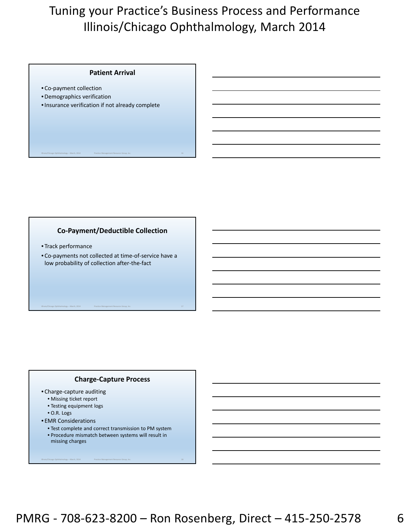#### **Patient Arrival**

- Co‐payment collection
- •Demographics verification
- •Insurance verification if not already complete

## **Co‐Payment/Deductible Collection**

Illinois/Chicago Ophthalmology – March, 2014 Practice Management Resource Group, Inc. 16

- Track performance
- Co‐payments not collected at time‐of‐service have a low probability of collection after‐the‐fact

Illinois/Chicago Ophthalmology – March, 2014 Practice Management Resource Group, Inc. 17

### **Charge‐Capture Process**

- Charge‐capture auditing
	- Missing ticket report
	- Testing equipment logs
	- O.R. Logs
- EMR Considerations
	- Test complete and correct transmission to PM system

Illinois/Chicago Ophthalmology – March, 2014 Practice Management Resource Group, Inc. 18

• Procedure mismatch between systems will result in missing charges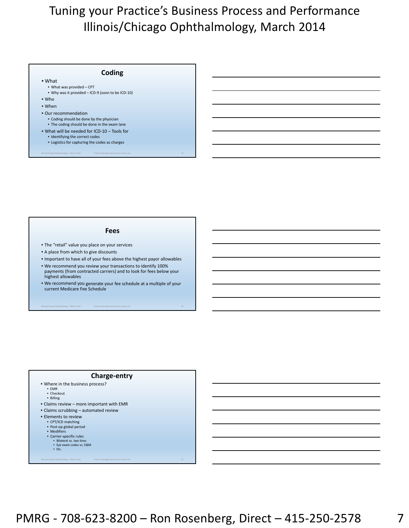#### **Coding** • What • What was provided – CPT • Why was it provided – ICD‐9 (soon to be ICD‐10) • Who • When • Our recommendation • Coding should be done by the physician

Illinois/Chicago Ophthalmology – March, 2014 Practice Management Resource Group, Inc. 19

- The coding should be done in the exam lane
- What will be needed for ICD‐10 Tools for
	- Identifying the correct codes
	- Logistics for capturing the codes as charges

#### **Fees**

- The "retail" value you place on your services
- A place from which to give discounts
- Important to have all of your fees above the highest payor allowables
- We recommend you review your transactions to identify 100% payments (from contracted carriers) and to look for fees below your highest allowables
- We recommend you generate your fee schedule at a multiple of your current Medicare Fee Schedule

Illinois/Chicago Ophthalmology – March, 2014 Practice Management Resource Group, Inc. 20

#### **Charge‐entry**

- Where in the business process?
	- EMR • Checkout
	- Billing
- Claims review more important with EMR
- Claims scrubbing automated review
- Elements to review
	- CPT/ICD matching
	- Post‐op global period • Modifiers
	- Carrier‐specific rules
		- Bilateral vs. two lines Eye exam codes vs. E&M
		- Etc.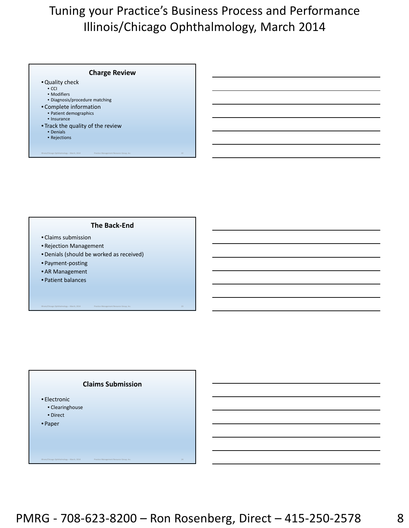### **Charge Review**

- •Quality check
	- CCI
	- Modifiers
	- Diagnosis/procedure matching
- Complete information
	- Patient demographics
	- Insurance
- Track the quality of the review
	- Denials • Rejections
	-

#### **The Back‐End**

Illinois/Chicago Ophthalmology – March, 2014 Practice Management Resource Group, Inc. 22

- Claims submission
- Rejection Management
- •Denials (should be worked as received)
- Payment‐posting
- AR Management
- Patient balances

#### **Claims Submission**

Illinois/Chicago Ophthalmology – March, 2014 Practice Management Resource Group, Inc. 24

- Electronic
	- Clearinghouse
	- Direct
- Paper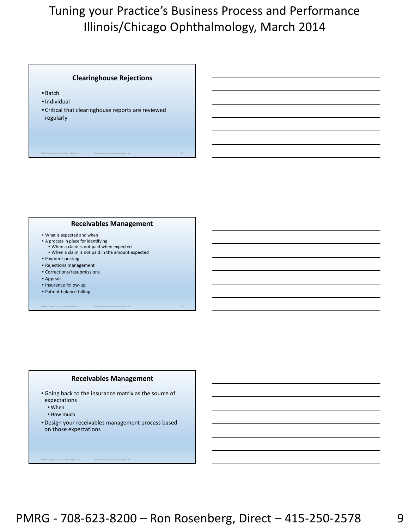### **Clearinghouse Rejections**

Illinois/Chicago Ophthalmology – March, 2014 Practice Management Resource Group, Inc. 25

- Batch
- •Individual
- Critical that clearinghouse reports are reviewed regularly

### **Receivables Management**

- What is expected and when
- A process in place for identifying • When a claim is not paid when expected
- When a claim is not paid in the amount expected
- Payment posting
- Rejections management
- Corrections/resubmissions
- Appeals
- Insurance follow‐up
- Patient balance billing

### **Receivables Management**

Illinois/Chicago Ophthalmology – March, 2014 Practice Management Resource Group, Inc. 26

- •Going back to the insurance matrix as the source of expectations
	- When
	- How much
- •Design your receivables management process based on those expectations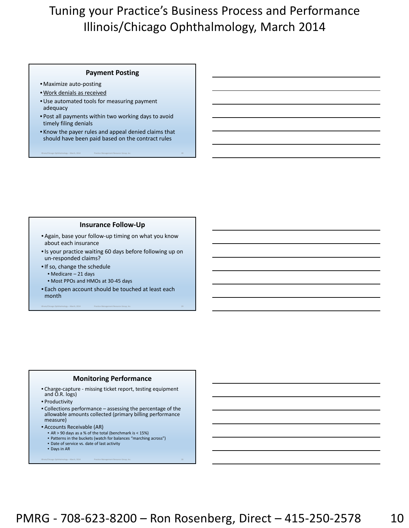#### **Payment Posting**

- Maximize auto‐posting
- Work denials as received
- •Use automated tools for measuring payment adequacy
- Post all payments within two working days to avoid timely filing denials
- Know the payer rules and appeal denied claims that should have been paid based on the contract rules

Illinois/Chicago Ophthalmology – March, 2014 Practice Management Resource Group, Inc. 28

#### **Insurance Follow‐Up**

- Again, base your follow‐up timing on what you know about each insurance
- •Is your practice waiting 60 days before following up on un‐responded claims?
- •If so, change the schedule
	- Medicare 21 days
	- Most PPOs and HMOs at 30‐45 days
- Each open account should be touched at least each month

Illinois/Chicago Ophthalmology – March, 2014 Practice Management Resource Group, Inc. 29

### **Monitoring Performance**

- Charge‐capture ‐ missing ticket report, testing equipment and O.R. logs)
- Productivity
- Collections performance assessing the percentage of the allowable amounts collected (primary billing performance measure)

- Accounts Receivable (AR)
	- AR > 90 days as a % of the total (benchmark is < 15%)
	- Patterns in the buckets (watch for balances "marching across") • Date of service vs. date of last activity
	- Days in AR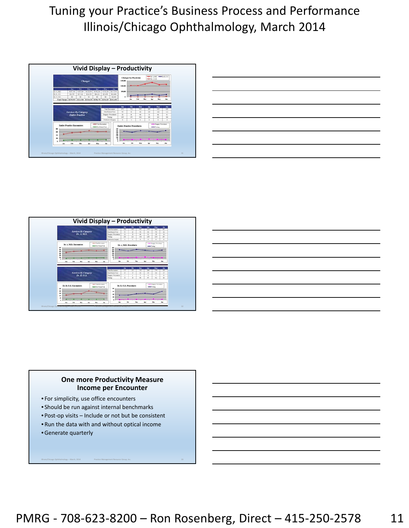| Charges                                                                         |                                                                    |                                      |                                               |                                                | Charges by Physician<br>1151,000<br>\$100,000                       |                                                                                                                   |                                                                     | -Ca A MI - Ca B.OD                          |                                                                         |                                                  |                                                              |                                          |
|---------------------------------------------------------------------------------|--------------------------------------------------------------------|--------------------------------------|-----------------------------------------------|------------------------------------------------|---------------------------------------------------------------------|-------------------------------------------------------------------------------------------------------------------|---------------------------------------------------------------------|---------------------------------------------|-------------------------------------------------------------------------|--------------------------------------------------|--------------------------------------------------------------|------------------------------------------|
| Ev. A.MDI<br>Dr 8.0D<br><b>Dr C.OD</b><br>Frant Charges   \$279.935   \$222.406 | $\overline{a}$<br>\$107,141<br>\$12,787<br>$\overline{\mathbf{3}}$ | 74<br>\$1,071,354<br>\$17,103<br>\$0 | Mer<br>\$1,20,416<br>\$18,138<br>$\mathbf{H}$ | <b>Not</b><br>\$156,168<br>\$34,218<br>32      | May<br>\$114,830<br>\$15,474<br>80<br><b>BURGIE BISRITE BIJOJIE</b> | ٠<br>1117,912<br>\$21,458<br>\$1,290<br>\$742,692                                                                 | \$50,000                                                            |                                             | Feb.                                                                    |                                                  |                                                              |                                          |
|                                                                                 | <b>Services By Category</b>                                        | <b>Entire Practice</b>               |                                               |                                                |                                                                     | <b>Treat Encounter</b><br>HearPukers Vice:<br><b>Basinic/Frankers</b><br><b>Terking</b><br><b>February Dagery</b> | Aug.<br>411<br>$\overline{\phantom{a}}$<br>$\mathbf{u}$<br>245<br>Ŧ | <b>TA</b><br>352<br>m<br>$^{**}$<br>28<br>× | Mar<br>183<br>$\mathbb{R}^n$<br>$\overline{a}$<br>322<br>$\overline{1}$ | <b>Apr</b><br>88.3<br>105<br>$^{14}$<br>304<br>× | May<br>111<br>104<br>$\overline{1}$<br>201<br>$\overline{a}$ | ani.<br>428<br>118<br>$\sim$<br>306<br>× |
| $\lambda$                                                                       | <b>Eatire Practice Encounters</b><br>Pub.                          | w.                                   | her.                                          | www.Tikal Summers<br>membles Paint Tabl<br>Mar | <b>Jun</b>                                                          | 3.90<br><b>MB</b><br>198<br>38<br>189<br>198                                                                      | <b>Entire Practice Procedures</b><br>$\lambda$                      | Pok                                         | Mar                                                                     | Apr                                              | whether any Thoughand<br><b>The County</b><br>Mar            |                                          |

| $\overline{\phantom{a}}$                                                                                                                                                                                                                                                                                                                                                                                                                                                   |        |
|----------------------------------------------------------------------------------------------------------------------------------------------------------------------------------------------------------------------------------------------------------------------------------------------------------------------------------------------------------------------------------------------------------------------------------------------------------------------------|--------|
| $\frac{1}{2} \left( \frac{1}{2} \right) \left( \frac{1}{2} \right) \left( \frac{1}{2} \right) \left( \frac{1}{2} \right) \left( \frac{1}{2} \right) \left( \frac{1}{2} \right) \left( \frac{1}{2} \right) \left( \frac{1}{2} \right) \left( \frac{1}{2} \right) \left( \frac{1}{2} \right) \left( \frac{1}{2} \right) \left( \frac{1}{2} \right) \left( \frac{1}{2} \right) \left( \frac{1}{2} \right) \left( \frac{1}{2} \right) \left( \frac{1}{2} \right) \left( \frac$ | ______ |
|                                                                                                                                                                                                                                                                                                                                                                                                                                                                            |        |
|                                                                                                                                                                                                                                                                                                                                                                                                                                                                            |        |
|                                                                                                                                                                                                                                                                                                                                                                                                                                                                            |        |
| and the contract of the contract of the contract of the contract of the contract of the contract of the contract of                                                                                                                                                                                                                                                                                                                                                        |        |
|                                                                                                                                                                                                                                                                                                                                                                                                                                                                            |        |





## **One more Productivity Measure Income per Encounter**

- For simplicity, use office encounters
- Should be run against internal benchmarks
- Post‐op visits Include or not but be consistent
- Run the data with and without optical income
- •Generate quarterly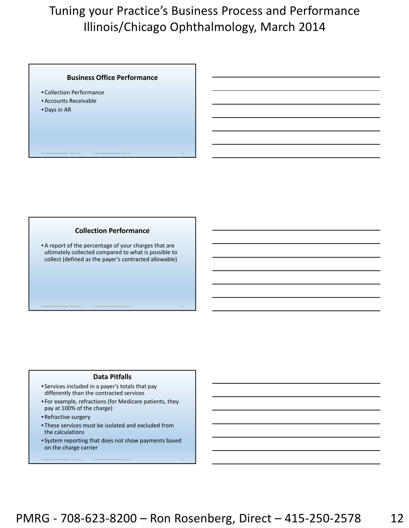### **Business Office Performance**

Illinois/Chicago Ophthalmology – March, 2014 Practice Management Resource Group, Inc. 34

- Collection Performance
- Accounts Receivable
- •Days in AR

### **Collection Performance**

• A report of the percentage of your charges that are ultimately collected compared to what is possible to collect (defined as the payer's contracted allowable)

Illinois/Chicago Ophthalmology – March, 2014 Practice Management Resource Group, Inc. 35

### **Data Pitfalls**

- Services included in a payer's totals that pay differently than the contracted services
- For example, refractions (for Medicare patients, they pay at 100% of the charge)
- Refractive surgery
- These services must be isolated and excluded from the calculations
- System reporting that does not show payments based on the charge carrier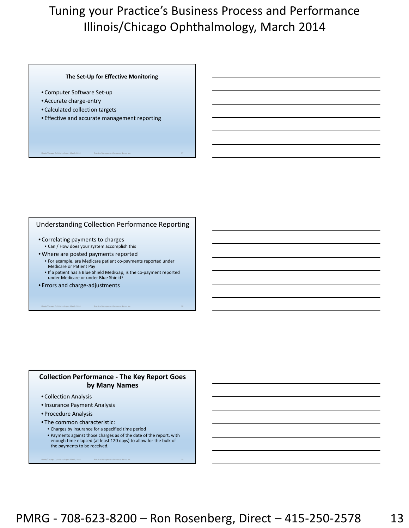#### **The Set‐Up for Effective Monitoring**

- Computer Software Set‐up
- Accurate charge‐entry
- Calculated collection targets
- Effective and accurate management reporting

#### Understanding Collection Performance Reporting

Illinois/Chicago Ophthalmology – March, 2014 Practice Management Resource Group, Inc. 37

- Correlating payments to charges
	- Can / How does your system accomplish this
- Where are posted payments reported
	- For example, are Medicare patient co‐payments reported under Medicare or Patient Pay
	- If a patient has a Blue Shield MediGap, is the co‐payment reported under Medicare or under Blue Shield?

Illinois/Chicago Ophthalmology – March, 2014 Practice Management Resource Group, Inc. 38

• Errors and charge‐adjustments

### **Collection Performance ‐ The Key Report Goes by Many Names**

- Collection Analysis
- •Insurance Payment Analysis
- Procedure Analysis
- The common characteristic:
	- Charges by insurance for a specified time period
	- Payments against those charges as of the date of the report, with enough time elapsed (at least 120 days) to allow for the bulk of the payments to be received.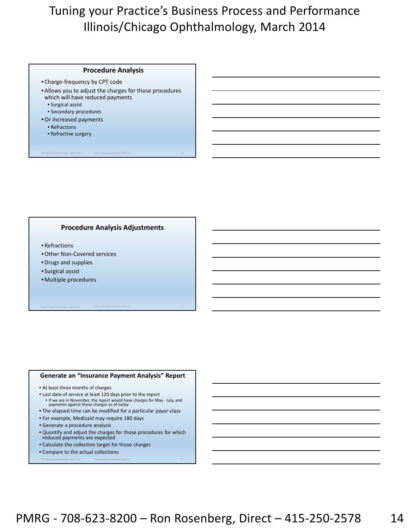#### **Procedure Analysis**

- Charge‐frequency by CPT code
- Allows you to adjust the charges for those procedures which will have reduced payments

Illinois/Chicago Ophthalmology – March, 2014 Practice Management Resource Group, Inc. 40

- Surgical assist
- Secondary procedures
- •Or increased payments
	- Refractions
	- Refractive surgery

### **Procedure Analysis Adjustments**

- Refractions
- •Other Non‐Covered services
- •Drugs and supplies
- Surgical assist
- Multiple procedures

#### **Generate an "Insurance Payment Analysis" Report**

Illinois/Chicago Ophthalmology – March, 2014 Practice Management Resource Group, Inc. 41

- At least three months of charges
- Last date of service at least 120 days prior to the report • If we are in November, the report would have charges for May ‐ July, and payments against those charges as of today
- The elapsed time can be modified for a particular payor‐class
- For example, Medicaid may require 180 days
- Generate a procedure analysis
- Quantify and adjust the charges for those procedures for which reduced payments are expected

- Calculate the collection target for those charges
- Compare to the actual collections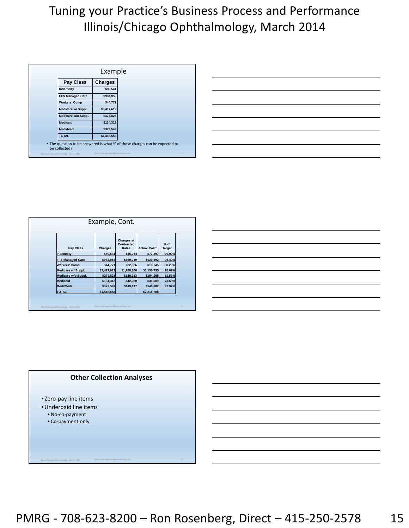|                                              | Example                                  |                                                                             |    |
|----------------------------------------------|------------------------------------------|-----------------------------------------------------------------------------|----|
| Pay Class                                    | <b>Charges</b>                           |                                                                             |    |
| Indemnity                                    | \$89,541                                 |                                                                             |    |
| <b>FFS Managed Care</b>                      | \$984,953                                |                                                                             |    |
| <b>Workers' Comp</b>                         | \$44,771                                 |                                                                             |    |
| Medicare w/ Suppl.                           | \$2,417,612                              |                                                                             |    |
| Medicare w/o Suppl.                          | \$373,826                                |                                                                             |    |
| <b>Medicaid</b>                              | \$134,312                                |                                                                             |    |
| <b>Medi/Medi</b>                             | \$373,543                                |                                                                             |    |
| <b>TOTAL</b>                                 | \$4,418,558                              |                                                                             |    |
| be collected?                                |                                          | • The question to be answered is what % of those charges can be expected to |    |
| Illinois/Chicago Ophthalmology - March, 2014 | Practice Management Resource Group, Inc. |                                                                             | 43 |

| Pay Class               | Charges     | <b>Charges at</b><br>Contracted<br>Rates | <b>Actual Coll'n</b> | $%$ of<br>Target |
|-------------------------|-------------|------------------------------------------|----------------------|------------------|
| Indemnity               | \$89,541    | \$85,064                                 | \$77,397             | 90.99%           |
| <b>FFS Managed Care</b> | \$984,953   | \$659,919                                | \$629,592            | 95.40%           |
| <b>Workers' Comp</b>    | \$44,771    | \$22,386                                 | \$19,745             | 88.20%           |
| Medicare w/ Suppl.      | \$2,417,612 | \$1,208,806                              | \$1,156,735          | 95.69%           |
| Medicare w/o Suppl.     | \$373,826   | \$186,913                                | \$154,268            | 82.53%           |
| <b>Medicaid</b>         | \$134,312   | \$42,980                                 | \$31,589             | 73.50%           |
| Medi/Medi               | \$373,543   | \$149,417                                | \$146,382            | 97.97%           |
| <b>TOTAL</b>            | \$4,418,558 |                                          | \$2,215,708          |                  |



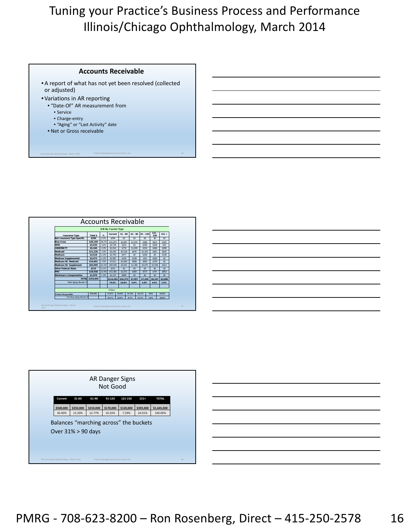#### **Accounts Receivable**

• A report of what has not yet been resolved (collected or adjusted)

- Variations in AR reporting
	- "Date‐Of" AR measurement from
		- Service
		- Charge‐entry
		- "Aging" or "Last Activity" date
	- Net or Gross receivable







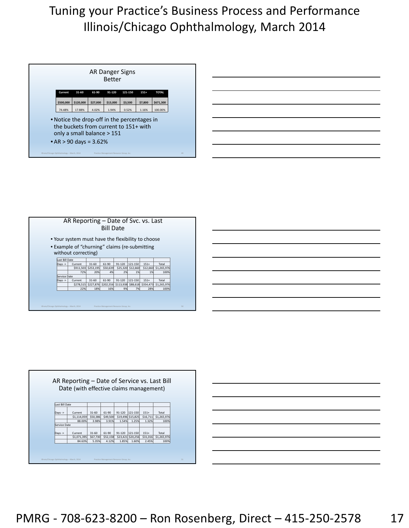<u> 1989 - Johann Barbara, martxa alemaniar a</u>

<u> 1989 - Johann Barn, mars and de Branch Barn, mars and de Branch Barn, mars and de Branch Barn, mars and de Br</u>

|                  | AR Reporting – Date of Svc. vs. Last                                 |           | <b>Bill Date</b> |          |          |          |                                                                        |
|------------------|----------------------------------------------------------------------|-----------|------------------|----------|----------|----------|------------------------------------------------------------------------|
|                  | • Your system must have the flexibility to choose                    |           |                  |          |          |          |                                                                        |
|                  | • Example of "churning" claims (re-submitting<br>without correcting) |           |                  |          |          |          |                                                                        |
| Last Bill Date   |                                                                      |           |                  |          |          |          |                                                                        |
| $\text{DayS}$ -> | Current                                                              | $31 - 60$ | 61-90            | 91-120   | 121-150  | $151+$   | Total                                                                  |
|                  | \$911,503                                                            | \$253,195 | \$50,639         | \$25,320 | \$12,660 | \$12,660 | \$1,265,976                                                            |
|                  | 72%                                                                  | 20%       | 4%               | 2%       | 1%       | 1%       | 100%                                                                   |
| Service Date     |                                                                      |           |                  |          |          |          |                                                                        |
| Days ->          | Current                                                              | $31 - 60$ | $61-90$          | 91-120   | 121-150  | $151+$   | Total                                                                  |
|                  |                                                                      |           |                  |          |          |          | \$278,515 \$227,876 \$202,556 \$113,938 \$88,618 \$354,473 \$1,265,976 |
|                  | 22%                                                                  | 18%       | 16%              | 9%       | 7%       | 28%      | 100%                                                                   |
|                  |                                                                      |           |                  |          |          |          |                                                                        |

|                    | Date (with effective claims management) |           |          |        |                   |          |             |
|--------------------|-----------------------------------------|-----------|----------|--------|-------------------|----------|-------------|
|                    |                                         |           |          |        |                   |          |             |
|                    |                                         |           |          |        |                   |          |             |
| Last Bill Date     |                                         |           |          |        |                   |          |             |
|                    |                                         |           |          |        |                   |          |             |
| Days $\rightarrow$ | Current                                 | $31 - 60$ | 61-90    | 91-120 | 121-150           | $151+$   | Total       |
|                    | \$1,114,059                             | \$50,386  | \$49,500 |        | \$19,496 \$15,825 | \$16,711 | \$1,265,976 |
|                    | 88.00%                                  | 3.98%     | 3.91%    | 1.54%  | 1.25%             | 1.32%    | 100%        |
| Service Date       |                                         |           |          |        |                   |          |             |
| Days $\rightarrow$ | Current                                 | $31 - 60$ | 61-90    | 91-120 | 121-150           | $151+$   | Total       |
|                    | \$1,071,395                             | \$67,730  | \$52,158 |        | \$23,421 \$20,256 | \$31,016 | \$1,265,976 |
|                    | 84.63%                                  | 5.35%     | 4.12%    | 1.85%  | 1.60%             | 2.45%    | 100%        |

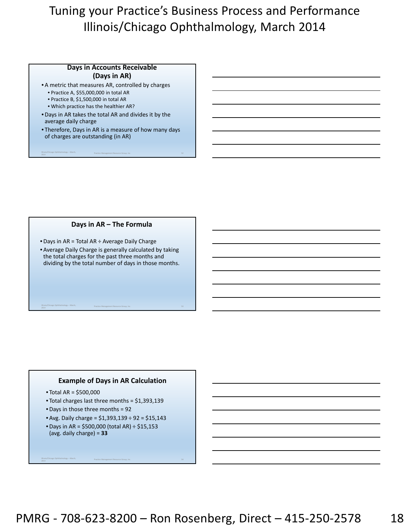### **Days in Accounts Receivable (Days in AR)**

- A metric that measures AR, controlled by charges
	- Practice A, \$55,000,000 in total AR
	- Practice B, \$1,500,000 in total AR

Illinois/Chicago Ophthalmology – March,

Illinois/Chicago Ophthalmology – March,

- Which practice has the healthier AR?
- •Days in AR takes the total AR and divides it by the average daily charge
- Therefore, Days in AR is a measure of how many days of charges are outstanding (in AR)

entrologies and the entrology entering the state of Practice Management Resource Group, Inc. 52<br>2014

## **Days in AR – The Formula**

- •Days in AR = Total AR ÷ Average Daily Charge
- Average Daily Charge is generally calculated by taking the total charges for the past three months and dividing by the total number of days in those months.

entrologie Communication (γραφιά του 1999).<br>2014 - Στο του Μπαντινό του Μπαντινό του Παραστημικού Παραστημικού Παραστημικού Παραστημικού Παραστημικού Παρα<br>2014 - Παραστημικό Παραστημικού Παραστημικού Παραστημικού Παραστη

## **Example of Days in AR Calculation**

• Total AR = \$500,000

Illinois/Chicago Ophthalmology – March,

- Total charges last three months = \$1,393,139
- •Days in those three months = 92
- Avg. Daily charge = \$1,393,139 ÷ 92 = \$15,143

<sup>2014</sup> Practice Management Resource Group, Inc. 54

•Days in AR = \$500,000 (total AR) ÷ \$15,153 (avg. daily charge) = **33**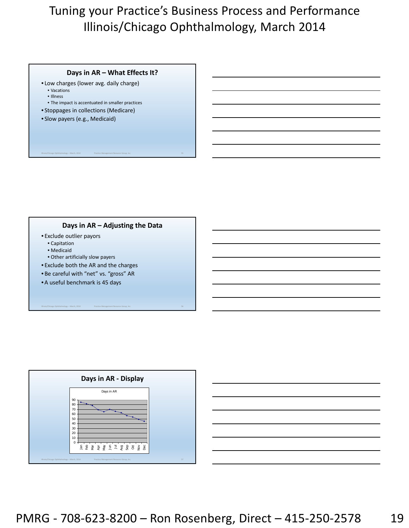## **Days in AR – What Effects It?**

- Low charges (lower avg. daily charge)
	- Vacations • Illness
	- The impact is accentuated in smaller practices
- Stoppages in collections (Medicare)
- Slow payers (e.g., Medicaid)

## **Days in AR – Adjusting the Data**

Illinois/Chicago Ophthalmology – March, 2014 Practice Management Resource Group, Inc. 56

- Exclude outlier payors
	- Capitation
	- Medicaid
	- Other artificially slow payers
- Exclude both the AR and the charges
- Be careful with "net" vs. "gross" AR
- A useful benchmark is 45 days